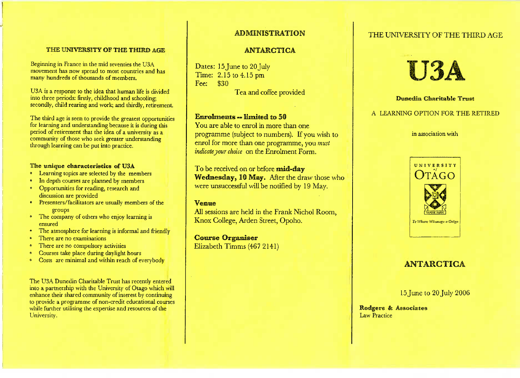### THE UNIVERSITY **OF THE THIRO** AGE

Beginning in France in the mid seventies the USA movement has now spread to most countries and hasmany hundreds of thousands of members.

U3A is a response to the idea that human life is dividedinto three periods: firstly, childhood and schooling;secondly, child rearing and work; and thirdly, retirement.

The third age is seen to provide the greatest opportunitiesfor learning and understanding because it is during thisperiod of retirement that the idea of a university as a community of those who seek greater understandingthrough learning can be put into practice.

### The **unique** characteristics of U3A

- \* Learning topics are selected by the members
- In depth courses are planned by members
- \* Opportunities for reading, research anddiscussion are provided
- \* Presenters/facilitators are usually members of thegroups
- \* The company of others who enjoy learning isensured
- \* The atmosphere for learning is informal and friendly
- There are no examinations
- \* There are no compulsory activities
- o Courses take place during daylight hours
- Costs are minimal and within reach of everybody

The USA Dunedin Charitable Trust has recently entered into a partnership with the University of Otago which willenhance their shared community of interest by continuing to provide a programme of non-credit educational courseswhile further utilising the expertise and resources of the University.

## **ADMINISTRATION**

### **ANTARCTICA**

Dates: 15 June to 20 July Time: 2.15 to 4.15pmFee: \$30

Tea and coffee provided

### Emrolments -- limited to 50

You are able to enrol in more than one programme (subject to numbers). If you wish toenrol for more than one programme, you *mustindicate your choice* on the Enrolment Form.

To be received on or before mid-day **Wednesday, 10** May. After the draw those whowere unsuccessful will be notified by 19 May.

### **Vemme**

All sessions are held in the Frank Nichol Room,Knox College, Arden Street, Opoho.

**Course Organiser** Elizabeth Timms (467 2141)

## THE UNIVERSITY OF THE THIRD AGE



### **Dunedisi Charitable** Trust

### A LEARNING OPTION FOR THE RETIRED

in association with



# **ANTARCTICA**

15 June to 20 July 2006

Rodgers & AssociatesLaw Practice